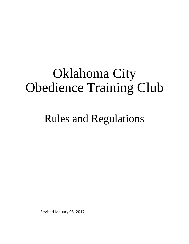# Oklahoma City Obedience Training Club

Rules and Regulations

Revised January 03, 2017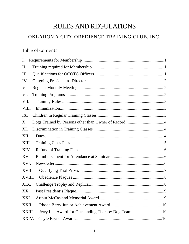## **RULES AND REGULATIONS**

## OKLAHOMA CITY OBEDIENCE TRAINING CLUB, INC.

## Table of Contents

| I.                                                            |
|---------------------------------------------------------------|
| Π.                                                            |
| Ш.                                                            |
| IV.                                                           |
| V.                                                            |
| VI.                                                           |
| VII.                                                          |
| VIII.                                                         |
| IX.                                                           |
| Χ.                                                            |
| XI.                                                           |
| XII.                                                          |
| XIII.                                                         |
| XIV.                                                          |
| XV.                                                           |
| XVI.                                                          |
| XVII.                                                         |
| XVIII.                                                        |
| XIX.                                                          |
| XX.                                                           |
| XXI.                                                          |
| XXII.                                                         |
| Jerry Lee Award for Outstanding Therapy Dog Team 10<br>XXIII. |
| XXIV.                                                         |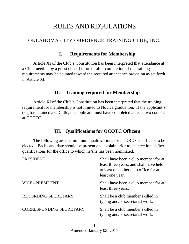# RULES AND REGULATIONS

## OKLAHOMA CITY OBEDIENCE TRAINING CLUB, INC.

#### **I. Requirements for Membership**

Article XI of the Club's Constitution has been interpreted that attendance at a Club meeting by a guest either before or after completion of the training requirements may be counted toward the required attendance provision as set forth in Article XI.

#### **II. Training required for Membership**

Article XI of the Club's Constitution has been interpreted that the training requirement for membership is not limited to Novice graduation. If the applicant's dog has attained a CD title, the applicant must have completed at least two courses at OCOTC.

## **III. Qualifications for OCOTC Officers**

The following are the minimum qualifications for the OCOTC officers to be elected. Each candidate should be present and explain prior to the election his/her qualifications for the office to which he/she has been nominated.

| <b>PRESIDENT</b>               | Shall have been a club member for at<br>least three years; and shall have held<br>at least one other club office for at<br>least one year. |
|--------------------------------|--------------------------------------------------------------------------------------------------------------------------------------------|
| VICE-PRESIDENT                 | Shall have been a club member for at<br>least three years.                                                                                 |
| <b>RECORDING SECRETARY</b>     | Shall be a club member skilled in<br>typing and/or secretarial work.                                                                       |
| <b>CORRESPONDING SECRETARY</b> | Shall be a club member skilled in<br>typing and/or secretarial work.                                                                       |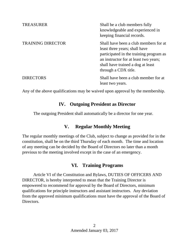| <b>TREASURER</b>         | Shall be a club members fully<br>knowledgeable and experienced in<br>keeping financial records.                                                                                                                         |
|--------------------------|-------------------------------------------------------------------------------------------------------------------------------------------------------------------------------------------------------------------------|
| <b>TRAINING DIRECTOR</b> | Shall have been a club members for at<br>least three years; shall have<br>participated in the training program as<br>an instructor for at least two years;<br>shall have trained a dog at least<br>through a CDX title. |
| <b>DIRECTORS</b>         | Shall have been a club member for at<br>least two years.                                                                                                                                                                |

Any of the above qualifications may be waived upon approval by the membership.

#### **IV. Outgoing President as Director**

The outgoing President shall automatically be a director for one year.

#### **V. Regular Monthly Meeting**

The regular monthly meetings of the Club, subject to change as provided for in the constitution, shall be on the third Thursday of each month. The time and location of any meeting can be decided by the Board of Directors no later than a month previous to the meeting involved except in the case of an emergency.

#### **VI. Training Programs**

Article VI of the Constitution and Bylaws, DUTIES OF OFFICERS AND DIRECTOR, is hereby interpreted to mean that the Training Director is empowered to recommend for approval by the Board of Directors, minimum qualifications for principle instructors and assistant instructors. Any deviation from the approved minimum qualifications must have the approval of the Board of Directors.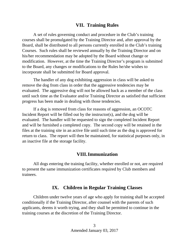#### **VII. Training Rules**

A set of rules governing conduct and procedure in the Club's training courses shall be promulgated by the Training Director and, after approval by the Board, shall be distributed to all persons currently enrolled in the Club's training Courses. Such rules shall be reviewed annually by the Training Director and on his/her recommendation may be adopted by the Board without change or modification. However, at the time the Training Director's program is submitted to the Board, any changes or modifications to the Rules he/she wishes to incorporate shall be submitted for Board approval.

The handler of any dog exhibiting aggression in class will be asked to remove the dog from class in order that the aggressive tendencies may be evaluated. The aggressive dog will not be allowed back as a member of the class until such time as the Evaluator and/or Training Director as satisfied that sufficient progress has been made in dealing with those tendencies.

If a dog is removed from class for reasons of aggression, an OCOTC Incident Report will be filled out by the instructor(s), and the dog will be evaluated. The handler will be requested to sign the completed Incident Report and will be furnished a completed copy. The second copy will be retained in the files at the training site in an active file until such time as the dog is approved for return to class. The report will then be maintained, for statistical purposes only, in an inactive file at the storage facility.

#### **VIII.Immunization**

All dogs entering the training facility, whether enrolled or not, are required to present the same immunization certificates required by Club members and trainees.

#### **IX. Children in Regular Training Classes**

Children under twelve years of age who apply for training shall be accepted conditionally if the Training Director, after counsel with the parents of such applicants, deems it worth trying, and they shall be permitted to continue in the training courses at the discretion of the Training Director.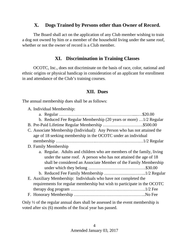## **X. Dogs Trained by Persons other than Owner of Record.**

The Board shall act on the application of any Club member wishing to train a dog not owned by him or a member of the household living under the same roof, whether or not the owner of record is a Club member.

## **XI. Discrimination in Training Classes**

OCOTC, Inc., does not discriminate on the basis of race, color, national and ethnic origins or physical handicap in consideration of an applicant for enrollment in and attendance of the Club's training courses.

## **XII. Dues**

The annual membership dues shall be as follows:

| A. Individual Membership:                                                 |
|---------------------------------------------------------------------------|
|                                                                           |
| b. Reduced Fee Regular Membership (20 years or more) 1/2 Regular          |
| B. Pre-Paid Lifetime Regular Membership \$500.00                          |
| C. Associate Membership (Individual): Any Person who has not attained the |
| age of 18 seeking membership in the OCOTC under an individual             |
|                                                                           |
| D. Family Membership                                                      |
| a. Regular. Adults and children who are members of the family, living     |
| under the same roof. A person who has not attained the age of 18          |
| shall be considered an Associate Member of the Family Membership          |
|                                                                           |
|                                                                           |
| E. Auxiliary Membership: Individuals who have not completed the           |
| requirements for regular membership but wish to participate in the OCOTC  |
|                                                                           |
|                                                                           |

Only ½ of the regular annual dues shall be assessed in the event membership is voted after six (6) months of the fiscal year has passed.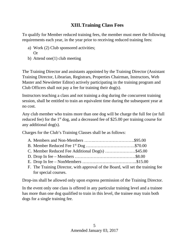## **XIII.Training Class Fees**

To qualify for Member reduced training fees, the member must meet the following requirements each year, in the year prior to receiving reduced training fees:

- a) Work (2) Club sponsored activities; Or
- b) Attend one(1) club meeting

The Training Director and assistants appointed by the Training Director (Assistant Training Director, Librarian, Registrars, Properties Chairman, Instructors, Web Master and Newsletter Editor) actively participating in the training program and Club Officers shall not pay a fee for training their dog(s).

Instructors teaching a class and not training a dog during the concurrent training session, shall be entitled to train an equivalent time during the subsequent year at no cost.

Any club member who trains more than one dog will be charge the full fee (or full reduced fee) for the  $1<sup>st</sup>$  dog, and a decreased fee of \$25.00 per training course for any additional dog(s).

Charges for the Club's Training Classes shall be as follows:

| C. Member Reduced Fee Additional Dog(s) \$45.00 |  |
|-------------------------------------------------|--|
|                                                 |  |
|                                                 |  |
|                                                 |  |

F. The Training Director, with approval of the Board, will set the training fee for special courses.

Drop-ins shall be allowed only upon express permission of the Training Director.

In the event only one class is offered in any particular training level and a trainee has more than one dog qualified to train in this level, the trainee may train both dogs for a single training fee.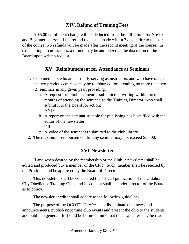## **XIV. Refund of Training Fees**

A \$5.00 enrollment charge will be deducted from the full refund for Novice and Beginner courses, if the refund request is made within 7 days prior to the start of the course. No refunds will be made after the second meeting of the course. In extenuating circumstances, a refund may be authorized at the discretion of the Board upon written request.

## **XV. Reimbursement for Attendance at Seminars**

- 1. Club members who are currently serving as instructors and who have taught the two previous courses, may be reimbursed for attending no more than two
	- (2) seminars in any given year, providing:
		- a. A request for reimbursement is submitted in writing within three months of attending the seminar, to the Training Director, who shall submit it to the Board for action; AND
		- b. A report on the seminar suitable for publishing has been filed with the editor of the newsletter; OR
		- c. A video of the seminar is submitted to the club library.
- 2. The maximum reimbursement for any seminar may not exceed \$50.00.

## **XVI. Newsletter**

If and when desired by the membership of the Club, a newsletter shall be edited and produced buy a member of the Club. Such member shall be selected by the President and be approved by the Board of Directors.

This newsletter shall be considered the official publication of the Oklahoma City Obedience Training Club, and its content shall be under director of the Board, as to policy.

The newsletter editor shall adhere to the following guidelines:

The purpose of the OCOTC *Courier* is to disseminate club news and announcements, publish upcoming club events and present the club to the students and public in general. It should be borne in mind that the newsletter may be read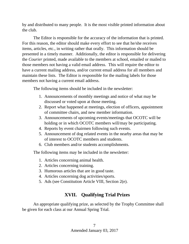by and distributed to many people. It is the most visible printed information about the club.

The Editor is responsible for the accuracy of the information that is printed. For this reason, the editor should make every effort to see that he/she receives items, articles, etc., in writing rather that orally. This information should be presented in a timely manner. Additionally, the editor is responsible for delivering the *Courier* printed, made available to the members at school, emailed or mailed to those members not having a valid email address. This will require the editor to have a current mailing address, and/or current email address for all members and maintain these lists. The Editor is responsible for the mailing labels for those members not having a current email address.

The following items should be included in the newsletter:

- 1. Announcements of monthly meetings and notice of what may be discussed or voted upon at those meeting.
- 2. Report what happened at meetings, election of officers, appointment of committee chairs, and new member information.
- 3. Announcements of upcoming events/meetings that OCOTC will be holding or in which OCOTC members will/may be participating.
- 4. Reports by event chairmen following such events.
- 5. Announcement of dog related events in the nearby areas that may be of interest to OCOTC members and students.
- 6. Club members and/or students accomplishments.

The following items may be included in the newsletter:

- 1. Articles concerning animal health.
- 2. Articles concerning training.
- 3. Humorous articles that are in good taste.
- 4. Articles concerning dog activities/sports.
- 5. Ads (see Constitution Article VIII, Section 2(e).

## **XVII. Qualifying Trial Prizes**

An appropriate qualifying prize, as selected by the Trophy Committee shall be given for each class at our Annual Spring Trial.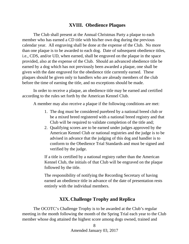#### **XVIII. Obedience Plaques**

The Club shall present at the Annual Christmas Party a plaque to each member who has earned a CD title with his/her own dog during the previous calendar year. All engraving shall be done at the expense of the Club. No more than one plaque is to be awarded to each dog. Date of subsequent obedience titles, i.e., CDS, and/or UD, when earned, shall be engraved on the plaque in the space provided, also at the expense of the Club. Should an advanced obedience title be earned by a dog which has not previously been awarded a plaque, one shall be given with the date engraved for the obedience title currently earned. These plaques should be given only to handlers who are already members of the club before the time of earning the title, and no exceptions should be made.

In order to receive a plaque, an obedience title may be earned and certified according to the rules set forth by the American Kennel Club.

A member may also receive a plaque if the following conditions are met:

- 1. The dog must be considered purebred by a national breed club or be a mixed breed registered with a national breed registry and that Club will be required to validate completion of the title and;
- 2. Qualifying scores are to be earned under judges approved by the American Kennel Club or national registries and the judge is to be advised in advance that the judging of this dog and handler is to conform to the Obedience Trial Standards and must be signed and verified by the judge.

If a title is certified by a national registry rather than the American Kennel Club, the initials of that Club will be engraved on the plaque followed by the title.

The responsibility of notifying the Recording Secretary of having earned an obedience title in advance of the date of presentation rests entirely with the individual members.

#### **XIX. Challenge Trophy and Replica**

The OCOTC's Challenge Trophy is to be awarded at the Club's regular meeting in the month following the month of the Spring Trial each year to the Club member whose dog attained the highest score among dogs owned, trained and

> 8 Amended January 03, 2017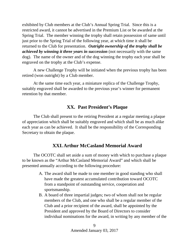exhibited by Club members at the Club's Annual Spring Trial. Since this is a restricted award, it cannot be advertised in the Premium List or be awarded at the Spring Trial. The member winning the trophy shall retain possession of same until just prior to the Spring Trial of the following year, at which time it shall be returned to the Club for presentation. *Outright ownership of the trophy shall be achieved by winning it three years in succession* (not necessarily with the same dog). The name of the owner and of the dog winning the trophy each year shall be engraved on the trophy at the Club's expense.

A new Challenge Trophy will be initiated when the previous trophy has been retired (won outright) by a Club member.

At the same time each year, a miniature replica of the Challenge Trophy, suitably engraved shall be awarded to the previous year's winner for permanent retention by that member.

## **XX. Past President's Plaque**

The Club shall present to the retiring President at a regular meeting a plaque of appreciation which shall be suitably engraved and which shall be as much alike each year as can be achieved. It shall be the responsibility of the Corresponding Secretary to obtain the plaque.

## **XXI. Arthur McCasland Memorial Award**

The OCOTC shall set aside a sum of money with which to purchase a plaque to be known as the "Arthur McCasland Memorial Award" and which shall be presented annually according to the following procedure:

- A. The award shall be made to one member in good standing who shall have made the greatest accumulated contribution toward OCOTC from a standpoint of outstanding service, cooperation and sportsmanship.
- B. A board of three impartial judges; two of whom shall not be regular members of the Club, and one who shall be a regular member of the Club and a prior recipient of the award, shall be appointed by the President and approved by the Board of Directors to consider individual nominations for the award, in writing by any member of the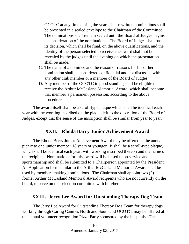OCOTC at any time during the year. These written nominations shall be presented in a sealed envelope to the Chairman of the Committee. The nominations shall remain sealed until the Board of Judges begins its consideration of the nominations. The Board of Judges shall base its decision, which shall be final, on the above qualifications, and the identity of the person selected to receive the award shall not be revealed by the judges until the evening on which the presentation shall be made.

- C. The name of a nominee and the reason or reasons for his or her nomination shall be considered confidential and not discussed with any other club member or a member of the Board of Judges.
- D. Any member of the OCOTC in good standing shall be eligible to receive the Arthur McCasland Memorial Award, which shall become that member's permanent possession, according to the above procedure.

The award itself shall be a scroll-type plaque which shall be identical each year with the wording inscribed on the plaque left to the discretion of the Board of Judges, except that the sense of the inscription shall be similar from year to year.

#### **XXII. Rhoda Barry Junior Achievement Award**

The Rhoda Berry Junior Achievement Award may be offered at the annual picnic to one junior member 18 years or younger. It shall be a scroll-type plaque, which shall be identical each year, with working inscribed thereon and the name of the recipient. Nominations for this award will be based upon service and sportsmanship and shall be submitted to a Chairperson appointed by the President. An Application form similar to the Arthur McCasland Memorial Award shall be used by members making nominations. The Chairman shall appoint two (2) former Arthur McCasland Memorial Award recipients who are not currently on the board, to serve on the selection committee with him/her.

#### **XXIII. Jerry Lee Award for Outstanding Therapy Dog Team**

The Jerry Lee Award for Outstanding Therapy Dog Team for therapy dogs working through Caring Canines North and South and OCOTC, may be offered at the annual volunteer recognition Pizza Party sponsored by the hospitals. The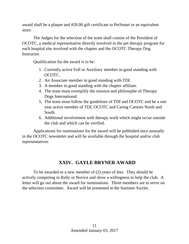award shall be a plaque and #20.00 gift certificate to PetSmart or an equivalent store.

The Judges for the selection of the team shall consist of the President of OCOTC, a medical representative directly involved in the pet therapy program for each hospital site involved with the chapter and the OCOTC Therapy Dog Instructor.

Qualification for the award is to be:

- 1. Currently active Full or Auxiliary member in good standing with OCOTC.
- 2. An Associate member in good standing with TDI.
- 3. A member in good standing with the chapter affiliate.
- 4. The team must exemplify the mission and philosophe of Therapy Dogs International.
- 5. The team must follow the guidelines of TDI and OCOTC and be a one year active member of TDI, OCOTC and Caring Canines North and South.
- 6. Additional involvement with therapy work which might occur outside the club and which can be verified.

Applications for nominations for the award will be published once annually in the OCOTC newsletter and will be available through the hospital and/or club representatives.

## **XXIV. GAYLE BRYNER AWARD**

To be awarded to a new member of (2) years of less. They should be actively competing in Rally or Novice and show a willingness to help the club. A letter will go out about the award for nominations. Three members are to serve on the selection committee. Award will be presented at the Summer Sizzler.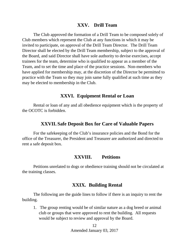#### **XXV. Drill Team**

The Club approved the formation of a Drill Team to be composed solely of Club members which represent the Club at any functions in which it may be invited to participate, on approval of the Drill Team Director. The Drill Team Director shall be elected by the Drill Team membership, subject to the approval of the Board, and said Director shall have sole authority to devise exercises, accept trainees for the team, determine who is qualified to appear as a member of the Team, and to set the time and place of the practice sessions. Non-members who have applied for membership may, at the discretion of the Director be permitted to practice with the Team so they may join same fully qualified at such time as they may be elected to membership in the Club.

#### **XXVI. Equipment Rental or Loan**

Rental or loan of any and all obedience equipment which is the property of the OCOTC is forbidden.

#### **XXVII. Safe Deposit Box for Care of Valuable Papers**

For the safekeeping of the Club's insurance policies and the Bond for the office of the Treasurer, the President and Treasurer are authorized and directed to rent a safe deposit box.

#### **XXVIII. Petitions**

Petitions unrelated to dogs or obedience training should not be circulated at the training classes.

#### **XXIX. Building Rental**

The following are the guide lines to follow if there is an inquiry to rent the building.

1. The group renting would be of similar nature as a dog breed or animal club or groups that were approved to rent the building. All requests would be subject to review and approval by the Board.

> 12 Amended January 03, 2017